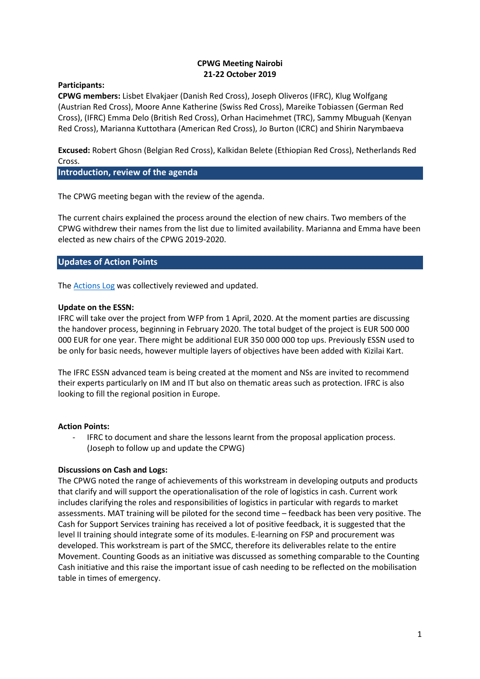## **CPWG Meeting Nairobi 21-22 October 2019**

## **Participants:**

**CPWG members:** Lisbet Elvakjaer (Danish Red Cross), Joseph Oliveros (IFRC), Klug Wolfgang (Austrian Red Cross), Moore Anne Katherine (Swiss Red Cross), Mareike Tobiassen (German Red Cross), (IFRC) Emma Delo (British Red Cross), Orhan Hacimehmet (TRC), Sammy Mbuguah (Kenyan Red Cross), Marianna Kuttothara (American Red Cross), Jo Burton (ICRC) and Shirin Narymbaeva

**Excused:** Robert Ghosn (Belgian Red Cross), Kalkidan Belete (Ethiopian Red Cross), Netherlands Red Cross.

**Introduction, review of the agenda**

The CPWG meeting began with the review of the agenda.

The current chairs explained the process around the election of new chairs. Two members of the CPWG withdrew their names from the list due to limited availability. Marianna and Emma have been elected as new chairs of the CPWG 2019-2020.

# **Updates of Action Points**

The [Actions Log](https://docs.google.com/spreadsheets/d/1px9tkTfSANDyNUi55Ip4ZObEIjBiqpDK9E28-TLsHtk/edit?usp=sharing) was collectively reviewed and updated.

## **Update on the ESSN:**

IFRC will take over the project from WFP from 1 April, 2020. At the moment parties are discussing the handover process, beginning in February 2020. The total budget of the project is EUR 500 000 000 EUR for one year. There might be additional EUR 350 000 000 top ups. Previously ESSN used to be only for basic needs, however multiple layers of objectives have been added with Kizilai Kart.

The IFRC ESSN advanced team is being created at the moment and NSs are invited to recommend their experts particularly on IM and IT but also on thematic areas such as protection. IFRC is also looking to fill the regional position in Europe.

# **Action Points:**

- IFRC to document and share the lessons learnt from the proposal application process. (Joseph to follow up and update the CPWG)

# **Discussions on Cash and Logs:**

The CPWG noted the range of achievements of this workstream in developing outputs and products that clarify and will support the operationalisation of the role of logistics in cash. Current work includes clarifying the roles and responsibilities of logistics in particular with regards to market assessments. MAT training will be piloted for the second time – feedback has been very positive. The Cash for Support Services training has received a lot of positive feedback, it is suggested that the level II training should integrate some of its modules. E-learning on FSP and procurement was developed. This workstream is part of the SMCC, therefore its deliverables relate to the entire Movement. Counting Goods as an initiative was discussed as something comparable to the Counting Cash initiative and this raise the important issue of cash needing to be reflected on the mobilisation table in times of emergency.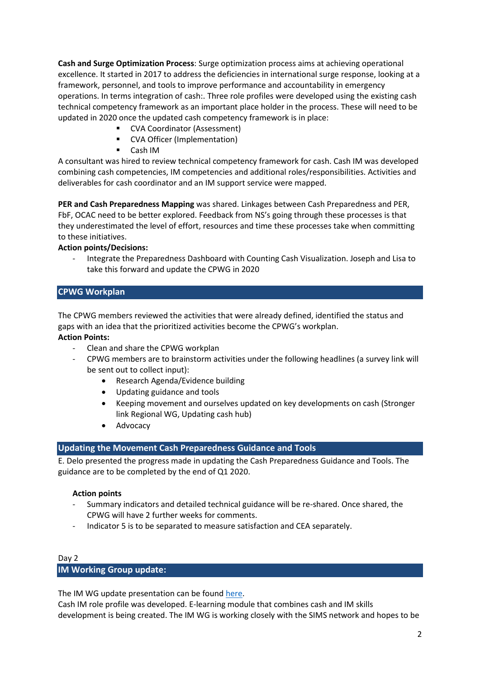**Cash and Surge Optimization Process**: Surge optimization process aims at achieving operational excellence. It started in 2017 to address the deficiencies in international surge response, looking at a framework, personnel, and tools to improve performance and accountability in emergency operations. In terms integration of cash:. Three role profiles were developed using the existing cash technical competency framework as an important place holder in the process. These will need to be updated in 2020 once the updated cash competency framework is in place:

- CVA Coordinator (Assessment)
- CVA Officer (Implementation)
- Cash IM

A consultant was hired to review technical competency framework for cash. Cash IM was developed combining cash competencies, IM competencies and additional roles/responsibilities. Activities and deliverables for cash coordinator and an IM support service were mapped.

**PER and Cash Preparedness Mapping** was shared. Linkages between Cash Preparedness and PER, FbF, OCAC need to be better explored. Feedback from NS's going through these processes is that they underestimated the level of effort, resources and time these processes take when committing to these initiatives.

# **Action points/Decisions:**

- Integrate the Preparedness Dashboard with Counting Cash Visualization. Joseph and Lisa to take this forward and update the CPWG in 2020

# **CPWG Workplan**

The CPWG members reviewed the activities that were already defined, identified the status and gaps with an idea that the prioritized activities become the CPWG's workplan.

## **Action Points:**

- Clean and share the CPWG workplan
- CPWG members are to brainstorm activities under the following headlines (a survey link will be sent out to collect input):
	- Research Agenda/Evidence building
	- Updating guidance and tools
	- Keeping movement and ourselves updated on key developments on cash (Stronger link Regional WG, Updating cash hub)
	- **Advocacy**

# **Updating the Movement Cash Preparedness Guidance and Tools**

E. Delo presented the progress made in updating the Cash Preparedness Guidance and Tools. The guidance are to be completed by the end of Q1 2020.

#### **Action points**

- Summary indicators and detailed technical guidance will be re-shared. Once shared, the CPWG will have 2 further weeks for comments.
- Indicator 5 is to be separated to measure satisfaction and CEA separately.

# Day 2

# **IM Working Group update:**

The IM WG update presentation can be found [here.](https://docs.google.com/presentation/d/1ffUMCZ6lWxbiGq1NruTd9317P3aCM2BFdXmVF81Qc98/edit#slide=id.p)

Cash IM role profile was developed. E-learning module that combines cash and IM skills development is being created. The IM WG is working closely with the SIMS network and hopes to be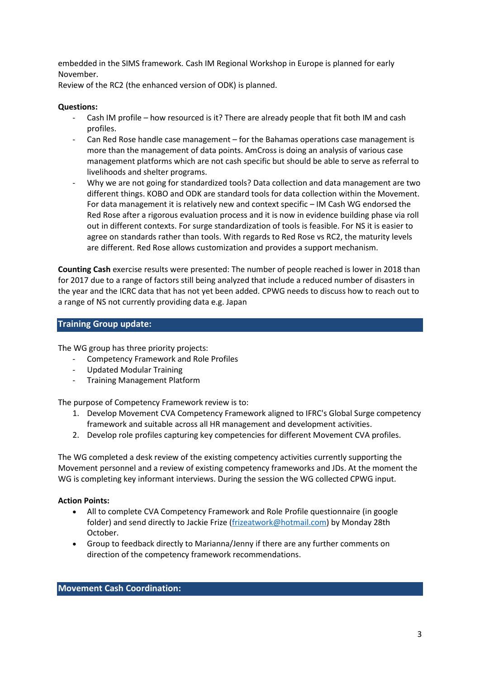embedded in the SIMS framework. Cash IM Regional Workshop in Europe is planned for early November.

Review of the RC2 (the enhanced version of ODK) is planned.

## **Questions:**

- Cash IM profile how resourced is it? There are already people that fit both IM and cash profiles.
- Can Red Rose handle case management for the Bahamas operations case management is more than the management of data points. AmCross is doing an analysis of various case management platforms which are not cash specific but should be able to serve as referral to livelihoods and shelter programs.
- Why we are not going for standardized tools? Data collection and data management are two different things. KOBO and ODK are standard tools for data collection within the Movement. For data management it is relatively new and context specific – IM Cash WG endorsed the Red Rose after a rigorous evaluation process and it is now in evidence building phase via roll out in different contexts. For surge standardization of tools is feasible. For NS it is easier to agree on standards rather than tools. With regards to Red Rose vs RC2, the maturity levels are different. Red Rose allows customization and provides a support mechanism.

**Counting Cash** exercise results were presented: The number of people reached is lower in 2018 than for 2017 due to a range of factors still being analyzed that include a reduced number of disasters in the year and the ICRC data that has not yet been added. CPWG needs to discuss how to reach out to a range of NS not currently providing data e.g. Japan

## **Training Group update:**

The WG group has three priority projects:

- Competency Framework and Role Profiles
- Updated Modular Training
- Training Management Platform

The purpose of Competency Framework review is to:

- 1. Develop Movement CVA Competency Framework aligned to IFRC's Global Surge competency framework and suitable across all HR management and development activities.
- 2. Develop role profiles capturing key competencies for different Movement CVA profiles.

The WG completed a desk review of the existing competency activities currently supporting the Movement personnel and a review of existing competency frameworks and JDs. At the moment the WG is completing key informant interviews. During the session the WG collected CPWG input.

#### **Action Points:**

- All to complete CVA Competency Framework and Role Profile questionnaire (in google folder) and send directly to Jackie Frize [\(frizeatwork@hotmail.com\)](mailto:frizeatwork@hotmail.com) by Monday 28th October.
- Group to feedback directly to Marianna/Jenny if there are any further comments on direction of the competency framework recommendations.